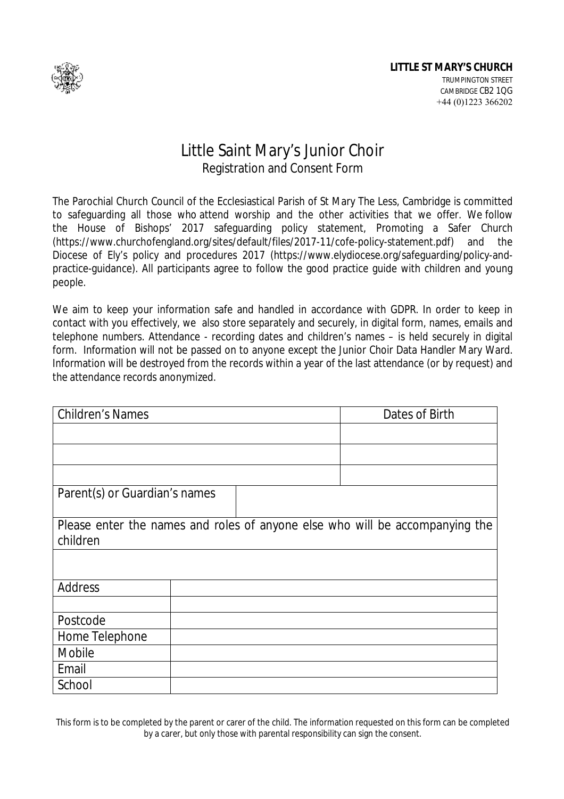

## Little Saint Mary's Junior Choir Registration and Consent Form

The Parochial Church Council of the Ecclesiastical Parish of St Mary The Less, Cambridge is committed to safeguarding all those who attend worship and the other activities that we offer. We follow the House of Bishops' 2017 safeguarding policy statement, Promoting a Safer Church (https://www.churchofengland.org/sites/default/files/2017-11/cofe-policy-statement.pdf) and the Diocese of Ely's policy and procedures 2017 (https://www.elydiocese.org/safeguarding/policy-andpractice-guidance). All participants agree to follow the good practice guide with children and young people.

We aim to keep your information safe and handled in accordance with GDPR. In order to keep in contact with you effectively, we also store separately and securely, in digital form, names, emails and telephone numbers. Attendance - recording dates and children's names – is held securely in digital form. Information will not be passed on to anyone except the Junior Choir Data Handler Mary Ward. Information will be destroyed from the records within a year of the last attendance (or by request) and the attendance records anonymized.

| <b>Children's Names</b>                                                      |  |  | Dates of Birth |
|------------------------------------------------------------------------------|--|--|----------------|
|                                                                              |  |  |                |
|                                                                              |  |  |                |
|                                                                              |  |  |                |
| Parent(s) or Guardian's names                                                |  |  |                |
|                                                                              |  |  |                |
| Please enter the names and roles of anyone else who will be accompanying the |  |  |                |
| children                                                                     |  |  |                |
|                                                                              |  |  |                |
|                                                                              |  |  |                |
| <b>Address</b>                                                               |  |  |                |
|                                                                              |  |  |                |
| Postcode                                                                     |  |  |                |
| Home Telephone                                                               |  |  |                |
| <b>Mobile</b>                                                                |  |  |                |
| Email                                                                        |  |  |                |
| School                                                                       |  |  |                |

This form is to be completed by the parent or carer of the child. The information requested on this form can be completed by a carer, but only those with parental responsibility can sign the consent.